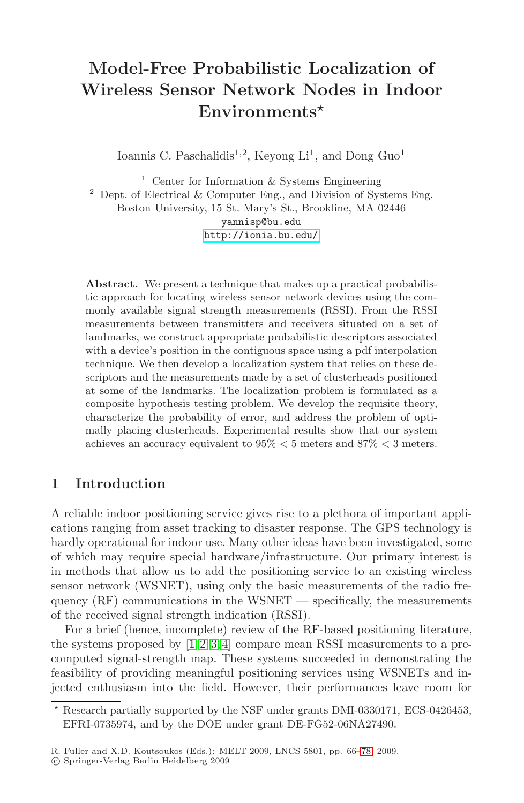# **Model-Free Probabilistic Localization of Wireless Sensor Network Nodes in Indoor [En](http://ionia.bu.edu/)vironments***-*

Ioannis C. Paschalidis<sup>1,2</sup>, Keyong Li<sup>1</sup>, and Dong Guo<sup>1</sup>

<sup>1</sup> Center for Information  $&$  Systems Engineering  $2$  Dept. of Electrical & Computer Eng., and Division of Systems Eng. Boston University, 15 St. Mary's St., Brookline, MA 02446 yannisp@bu.edu http://ionia.bu.edu/

**Abstract.** We present a technique that makes up a practical probabilistic approach for locating wireless sensor network devices using the commonly available signal strength measurements (RSSI). From the RSSI measurements between transmitters and receivers situated on a set of landmarks, we construct appropriate probabilistic descriptors associated with a device's position in the contiguous space using a pdf interpolation technique. We then develop a localization system that relies on these descriptors and the measurements made by a set of clusterheads positioned at some of the landmarks. The localization problem is formulated as a composite hypothesis testing problem. We develop the requisite theory, characterize the probability of error, and address the problem of optimally placing clusterheads. Experimental results show that our system achieves an accuracy equivalent to 95% *<* 5 meters and 87% *<* 3 meters.

## **1 Introduction**

A reliable indoor positioning service gives rise to a plethora of important application[s r](#page-12-0)[an](#page-12-1)[gi](#page-12-2)[ng](#page-12-3) from asset tracking to disaster response. The GPS technology is hardly operational for indoor use. Many other ideas have been investigated, some of which may require special hardware/infrastructure. Our primary interest is in methods that allow us to add the positioning service to an existing wireless sensor network (WSNET), using only the basic measurements of the radio frequency  $(RF)$  communications in the WSNET — specifically, the measurements of the received signal strength indication (RSSI).

For a brief (hence, incomplete) review of the RF-based positioning literature, the systems proposed by  $[1, 2, 3, 4]$  com[par](#page-12-4)e mean RSSI measurements to a precomputed signal-strength map. These systems succeeded in demonstrating the feasibility of providing meaningful positioning services using WSNETs and injected enthusiasm into the field. However, their performances leave room for

 $\star$  Research partially supported by the NSF under grants DMI-0330171, ECS-0426453, EFRI-0735974, and by the DOE under grant DE-FG52-06NA27490.

R. Fuller and X.D. Koutsoukos (Eds.): MELT 2009, LNCS 5801, pp. 66–78, 2009.

<sup>-</sup>c Springer-Verlag Berlin Heidelberg 2009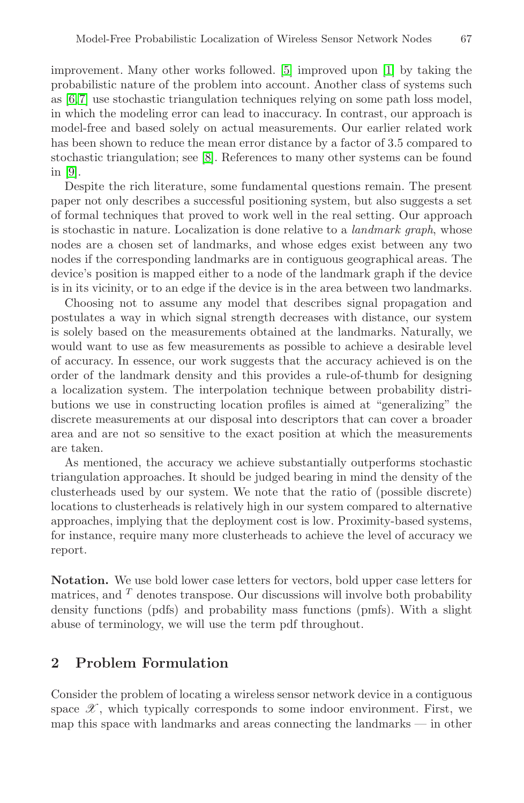improvement. Many other works followed. [5] improved upon [1] by taking the probabilistic nature of the problem into account. Another class of systems such as [6,7] use stochastic triangulation techniques relying on some path loss model, in which the modeling error can lead to inaccuracy. In contrast, our approach is model-free and based solely on actual measurements. Our earlier related work has been shown to reduce the mean error distance by a factor of 3.5 compared to stochastic triangulation; see [8]. References to many other systems can be found in [9].

Despite the rich literature, some fundamental questions remain. The present paper not only describes a successful positioning system, but also suggests a set of formal techniques that proved to work well in the real setting. Our approach is stochastic in nature. Localization is done relative to a *landmark graph*, whose nodes are a chosen set of landmarks, and whose edges exist between any two nodes if the corresponding landmarks are in contiguous geographical areas. The device's position is mapped either to a node of the landmark graph if the device is in its vicinity, or to an edge if the device is in the area between two landmarks.

Choosing not to assume any model that describes signal propagation and postulates a way in which signal strength decreases with distance, our system is solely based on the measurements obtained at the landmarks. Naturally, we would want to use as few measurements as possible to achieve a desirable level of accuracy. In essence, our work suggests that the accuracy achieved is on the order of the landmark density and this provides a rule-of-thumb for designing a localization system. The interpolation technique between probability distributions we use in constructing location profiles is aimed at "generalizing" the discrete measurements at our disposal into descriptors that can cover a broader area and are not so sensitive to the exact position at which the measurements are taken.

As mentioned, the accuracy we achieve substantially outperforms stochastic triangulation approaches. It should be judged bearing in mind the density of the clusterheads used by our system. We note that the ratio of (possible discrete) locations to clusterheads is relatively high in our system compared to alternative approaches, implying that the deployment cost is low. Proximity-based systems, for instance, require many more clusterheads to achieve the level of accuracy we report.

**Notation.** We use bold lower case letters for vectors, bold upper case letters for matrices, and  $T$  denotes transpose. Our discussions will involve both probability density functions (pdfs) and probability mass functions (pmfs). With a slight abuse of terminology, we will use the term pdf throughout.

## **2 Problem Formulation**

Consider the problem of locating a wireless sensor network device in a contiguous space  $\mathscr X$ , which typically corresponds to some indoor environment. First, we map this space with landmarks and areas connecting the landmarks — in other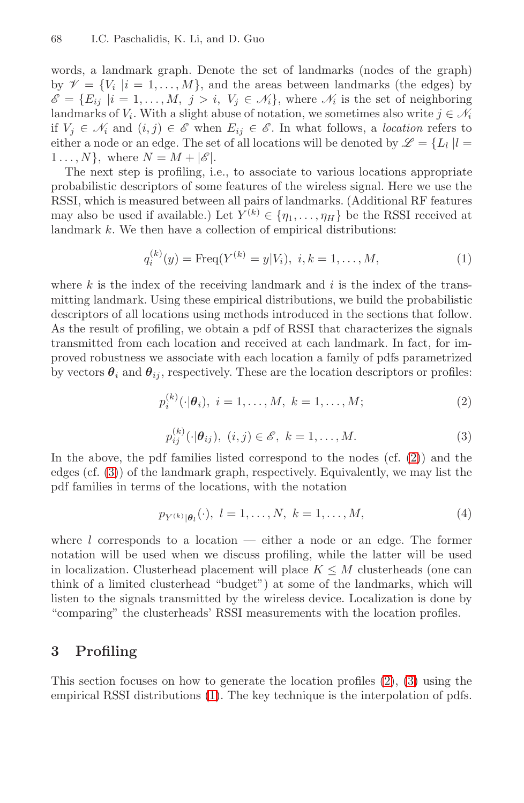words, a landmark graph. Denote the set of landmarks (nodes of the graph) by  $\mathcal{V} = \{V_i | i = 1, ..., M\}$ , and the areas between landmarks (the edges) by  $\mathscr{E} = \{E_{ij} | i = 1, ..., M, j > i, V_j \in \mathcal{N}_i\}$ , where  $\mathcal{N}_i$  is the set of neighboring landmarks of  $V_i$ . With a slight abuse of notation, we sometimes also write  $j \in \mathcal{N}_i$ if  $V_j$  ∈  $\mathcal{N}_i$  and  $(i, j)$  ∈  $\mathcal{E}$  when  $E_{ij}$  ∈  $\mathcal{E}$ . In what follows, a *location* refers to either a node or an edge. The set of all locations will be denoted by  $\mathscr{L} = \{L_l | l =$  $1 \ldots, N$ , where  $N = M + |\mathscr{E}|$ .

The next step is profiling, i.e., to associate to various locations appropriate probabilistic descriptors of some features of the wireless signal. Here we use the RSSI, which is measured between all pairs of landmarks. (Additional RF features may also be used if available.) Let  $Y^{(k)} \in \{\eta_1, \ldots, \eta_H\}$  be the RSSI received at landmark k. We then have a collection of empirical distributions:

<span id="page-2-2"></span><span id="page-2-0"></span>
$$
q_i^{(k)}(y) = \text{Freq}(Y^{(k)} = y|V_i), \ i, k = 1, \dots, M,
$$
\n(1)

<span id="page-2-1"></span>where k is the index of the receiving landmark and  $i$  is the index of the transmitting landmark. Using these empirical distributions, we build the probabilistic descriptors of all locations using methods introduced in the sections that follow. As the result of profiling, we obtain a pdf of RSSI that characterizes the signals transmitted from each location and received at [ea](#page-2-0)ch landmark. In fact, for improved robustness we associate with each location a family of pdfs parametrized by vectors  $\theta_i$  and  $\theta_{ij}$ , respectively. These are the location descriptors or profiles:

$$
p_i^{(k)}(\cdot | \theta_i), \ i = 1, \dots, M, \ k = 1, \dots, M; \tag{2}
$$

$$
p_{ij}^{(k)}(\cdot|\boldsymbol{\theta}_{ij}), (i,j) \in \mathscr{E}, k = 1, \dots, M.
$$
 (3)

In the above, the pdf families listed correspond to the nodes (cf. (2)) and the edges (cf. (3)) of the landmark graph, respectively. Equivalently, we may list the pdf families in terms of the locations, with the notation

$$
p_{Y^{(k)}|\theta_l}(\cdot), \ l = 1, \ldots, N, \ k = 1, \ldots, M,
$$
\n(4)

<span id="page-2-3"></span>where l corresponds to a location  $-$  either a node or an edge. The former notation will be used when we discuss profiling, while the latter will be used in localization. Clusterhead [pl](#page-2-0)ac[e](#page-2-1)ment will place  $K \leq M$  clusterheads (one can think of a [lim](#page-2-2)ited clusterhead "budget") at some of the landmarks, which will listen to the signals transmitted by the wireless device. Localization is done by "comparing" the clusterheads' RSSI measurements with the location profiles.

## **3 Profiling**

This section focuses on how to generate the location profiles (2), (3) using the empirical RSSI distributions (1). The key technique is the interpolation of pdfs.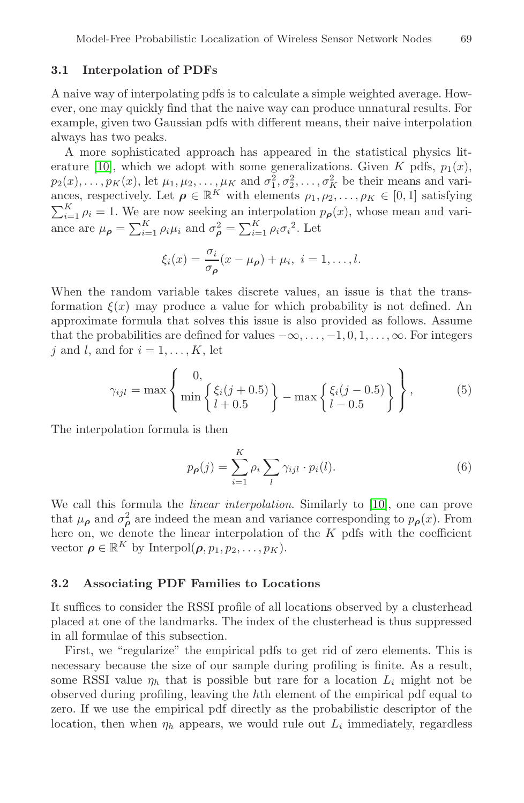#### **3.1 Interpolation of PDFs**

A naive way of interpolating pdfs is to calculate a simple weighted average. However, one may quickly find that the naive way can produce unnatural results. For example, given two Gaussian pdfs with different means, their naive interpolation always has two peaks.

A more sophisticated approach has appeared in the statistical physics literature [10], which we adopt with some generalizations. Given K pdfs,  $p_1(x)$ ,  $p_2(x), \ldots, p_K(x)$ , let  $\mu_1, \mu_2, \ldots, \mu_K$  and  $\sigma_1^2, \sigma_2^2, \ldots, \sigma_K^2$  be their means and variances, respectively. Let  $\rho \in \mathbb{R}^K$  with elements  $\rho_1, \rho_2, \ldots, \rho_K \in [0, 1]$  satisfying  $\sum_{i=1}^{K} \rho_i = 1$ . We are now seeking an interpolation  $p_\rho(x)$ , whose mean and variance are  $\mu_{\rho} = \sum_{i=1}^{K} \rho_i \mu_i$  and  $\sigma_{\rho}^2 = \sum_{i=1}^{K} \rho_i \sigma_i^2$ . Let

$$
\xi_i(x) = \frac{\sigma_i}{\sigma_{\rho}}(x - \mu_{\rho}) + \mu_i, \ i = 1, \dots, l.
$$

When the random variable takes discrete values, an issue is that the transformation  $\xi(x)$  may produce a value for which probability is not defined. An approximate formula that solves this issue is also provided as follows. Assume that the probabilities are defined for values  $-\infty, \ldots, -1, 0, 1, \ldots, \infty$ . For integers j and l, and for  $i = 1, \ldots, K$ , let

$$
\gamma_{ijl} = \max \left\{ \frac{0,}{\min \left\{ \xi_i(j+0.5) \right\}} - \max \left\{ \frac{\xi_i(j-0.5)}{l-0.5} \right\} \right\},
$$
 (5)

The interpolation formula is then

$$
p_{\rho}(j) = \sum_{i=1}^{K} \rho_i \sum_{l} \gamma_{ijl} \cdot p_i(l). \tag{6}
$$

We call this formula the *linear interpolation*. Similarly to [10], one can prove that  $\mu_{\rho}$  and  $\sigma_{\rho}^2$  are indeed the mean and variance corresponding to  $p_{\rho}(x)$ . From here on, we denote the linear interpolation of the  $K$  pdfs with the coefficient vector  $\rho \in \mathbb{R}^K$  by Interpol $(\rho, p_1, p_2, \ldots, p_K)$ .

#### **3.2 Associating PDF Families to Locations**

It suffices to consider the RSSI profile of all locations observed by a clusterhead placed at one of the landmarks. The index of the clusterhead is thus suppressed in all formulae of this subsection.

First, we "regularize" the empirical pdfs to get rid of zero elements. This is necessary because the size of our sample during profiling is finite. As a result, some RSSI value  $\eta_h$  that is possible but rare for a location  $L_i$  might not be observed during profiling, leaving the hth element of the empirical pdf equal to zero. If we use the empirical pdf directly as the probabilistic descriptor of the location, then when  $\eta_h$  appears, we would rule out  $L_i$  immediately, regardless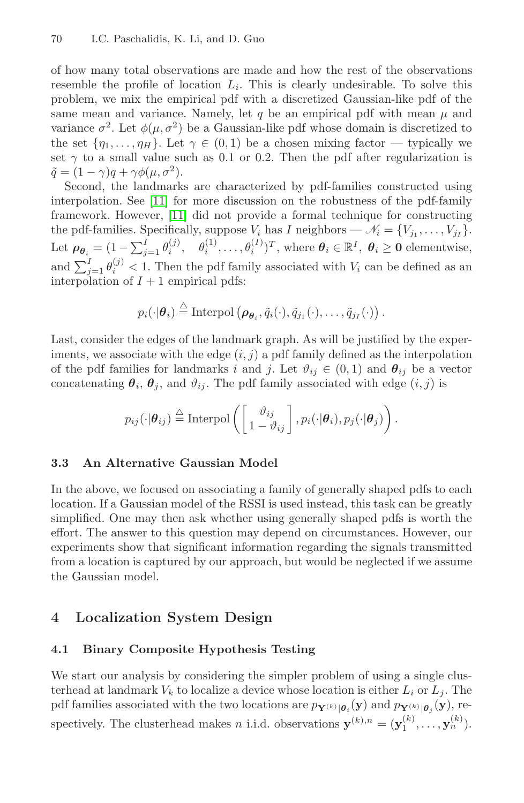of how many total observations are made and how the rest of the observations [rese](#page-12-7)mble the profile of location  $L_i$ . This is clearly undesirable. To solve this pro[blem](#page-12-7), we mix the empirical pdf with a discretized Gaussian-like pdf of the same mean and variance. Namely, let q be an empirical pdf with mean  $\mu$  and variance  $\sigma^2$ . Let  $\phi(\mu, \sigma^2)$  be a Gaussian-like pdf whose domain is discretized to the set  $\{\eta_1,\ldots,\eta_H\}$ . Let  $\gamma \in (0,1)$  be a chosen mixing factor — typically we set  $\gamma$  to a small value such as 0.1 or 0.2. Then the pdf after regularization is  $\tilde{q} = (1 - \gamma)q + \gamma \phi(\mu, \sigma^2).$ 

Second, the landmarks are characterized by pdf-families constructed using interpolation. See [11] for more discussion on the robustness of the pdf-family framework. However, [11] did not provide a formal technique for constructing the pdf-families. Specifically, suppose  $V_i$  has I neighbors —  $\mathcal{N}_i = \{V_{j_1}, \ldots, V_{j_I}\}.$ Let  $\rho_{\theta_i} = (1 - \sum_{j=1}^I \theta_i^{(j)}, \quad \theta_i^{(1)}, \dots, \theta_i^{(I)})^T$ , where  $\theta_i \in \mathbb{R}^I, \ \theta_i \geq 0$  elementwise, and  $\sum_{j=1}^{I} \theta_i^{(j)} < 1$ . Then the pdf family associated with  $V_i$  can be defined as an interpolation of  $I + 1$  empirical pdfs:

$$
p_i(\cdot | \boldsymbol{\theta}_i) \stackrel{\triangle}{=} \text{Interpol}\left(\boldsymbol{\rho}_{\boldsymbol{\theta}_i}, \tilde{q}_i(\cdot), \tilde{q}_{j_1}(\cdot), \ldots, \tilde{q}_{j_I}(\cdot)\right).
$$

Last, consider the edges of the landmark graph. As will be justified by the experiments, we associate with the edge  $(i, j)$  a pdf family defined as the interpolation of the pdf families for landmarks i and j. Let  $\vartheta_{ij} \in (0,1)$  and  $\theta_{ij}$  be a vector concatenating  $\theta_i$ ,  $\theta_j$ , and  $\vartheta_{ij}$ . The pdf family associated with edge  $(i, j)$  is

$$
p_{ij}(\cdot | \boldsymbol{\theta}_{ij}) \stackrel{\triangle}{=} \text{Interpol}\left(\begin{bmatrix} \vartheta_{ij} \\ 1 - \vartheta_{ij} \end{bmatrix}, p_i(\cdot | \boldsymbol{\theta}_i), p_j(\cdot | \boldsymbol{\theta}_j)\right).
$$

#### **3.3 An Alternative Gaussian Model**

<span id="page-4-0"></span>In the above, we focused on associating a family of generally shaped pdfs to each location. If a Gaussian model of the RSSI is used instead, this task can be greatly simplified. One may then ask whether using generally shaped pdfs is worth the effort. The answer to this question may depend on circumstances. However, our experiments show that significant information regarding the signals transmitted from a location is captured by our approach, but would be neglected if we assume the Gaussian model.

## **4 Localization System Design**

## **4.1 Binary Composite Hypothesis Testing**

We start our analysis by considering the simpler problem of using a single clusterhead at landmark  $V_k$  to localize a device whose location is either  $L_i$  or  $L_j$ . The pdf families associated with the two locations are  $p_{\mathbf{Y}^{(k)}|\theta_i}(\mathbf{y})$  and  $p_{\mathbf{Y}^{(k)}|\theta_i}(\mathbf{y})$ , respectively. The clusterhead makes n i.i.d. observations  $\mathbf{y}^{(k),n} = (\mathbf{y}_1^{(k)}, \dots, \mathbf{y}_n^{(k)})$ .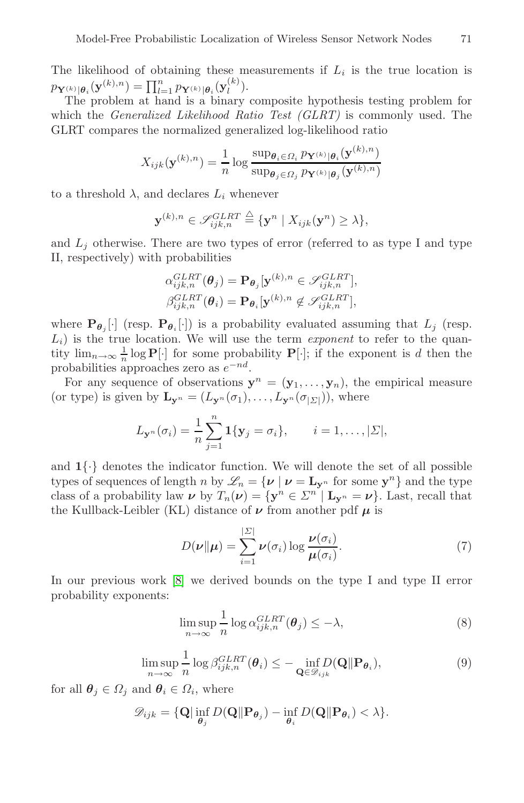The likelihood of obtaining these measurements if  $L_i$  is the true location is  $p_{\mathbf{Y}^{(k)}|\theta_i}(\mathbf{y}^{(k),n}) = \prod_{l=1}^n p_{\mathbf{Y}^{(k)}|\theta_i}(\mathbf{y}^{(k)}_l).$ 

The problem at hand is a binary composite hypothesis testing problem for which the *Generalized Likelihood Ratio Test (GLRT)* is commonly used. The GLRT compares the normalized generalized log-likelihood ratio

$$
X_{ijk}(\mathbf{y}^{(k),n}) = \frac{1}{n} \log \frac{\sup_{\theta_i \in \Omega_i} p_{\mathbf{Y}^{(k)} | \theta_i}(\mathbf{y}^{(k),n})}{\sup_{\theta_j \in \Omega_j} p_{\mathbf{Y}^{(k)} | \theta_j}(\mathbf{y}^{(k),n})}
$$

to a threshold  $\lambda$ , and declares  $L_i$  whenever

$$
\mathbf{y}^{(k),n} \in \mathscr{S}_{ijk,n}^{GLRT} \stackrel{\triangle}{=} \{\mathbf{y}^n \mid X_{ijk}(\mathbf{y}^n) \geq \lambda\},\
$$

and  $L_j$  otherwise. There are two types of error (referred to as type I and type II, respectively) with probabilities

$$
\alpha_{ijk,n}^{GLRT}(\boldsymbol{\theta}_j) = \mathbf{P}_{\boldsymbol{\theta}_j}[\mathbf{y}^{(k),n} \in \mathscr{S}_{ijk,n}^{GLRT}],
$$
  

$$
\beta_{ijk,n}^{GLRT}(\boldsymbol{\theta}_i) = \mathbf{P}_{\boldsymbol{\theta}_i}[\mathbf{y}^{(k),n} \notin \mathscr{S}_{ijk,n}^{GLRT}],
$$

where  $\mathbf{P}_{\theta_j}[\cdot]$  (resp.  $\mathbf{P}_{\theta_i}[\cdot]$ ) is a probability evaluated assuming that  $L_j$  (resp. Li) is the true location. We will use the term *exponent* to refer to the quantity  $\lim_{n\to\infty} \frac{1}{n} \log \mathbf{P}[\cdot]$  for some probability  $\mathbf{P}[\cdot]$ ; if the exponent is d then the probabilities approaches zero as  $e^{-nd}$ .

For any sequence of observations  $y^n = (y_1, \ldots, y_n)$ , the empirical measure (or type) is given by  $\mathbf{L}_{\mathbf{y}^n} = (L_{\mathbf{y}^n}(\sigma_1), \ldots, L_{\mathbf{y}^n}(\sigma_{|\Sigma|}))$ , where

<span id="page-5-1"></span>
$$
L_{\mathbf{y}^n}(\sigma_i) = \frac{1}{n} \sum_{j=1}^n \mathbf{1}\{\mathbf{y}_j = \sigma_i\}, \qquad i = 1, \ldots, |\Sigma|,
$$

and  $1\{\cdot\}$  $1\{\cdot\}$  denotes the indicator function. We will denote the set of all possible types of sequences of length n by  $\mathscr{L}_n = {\mathcal{V} \mid \nu = \mathbf{L}_{\mathbf{v}^n}}$  for some  $\mathbf{y}^n$  and the type class of a probability law  $\nu$  by  $T_n(\nu) = {\bf y}^n \in \Sigma^{n'} | {\bf L}_{\bf y}^n = \nu$ . Last, recall that the Kullback-Leibler (KL) distance of  $\nu$  from another pdf  $\mu$  is

$$
D(\nu \| \mu) = \sum_{i=1}^{\left|\mathcal{L}\right|} \nu(\sigma_i) \log \frac{\nu(\sigma_i)}{\mu(\sigma_i)}.
$$
\n(7)

<span id="page-5-0"></span>In our previous work [8] we derived bounds on the type I and type II error probability exponents:

$$
\limsup_{n \to \infty} \frac{1}{n} \log \alpha_{ijk,n}^{GLRT}(\boldsymbol{\theta}_j) \le -\lambda,
$$
\n(8)

$$
\limsup_{n \to \infty} \frac{1}{n} \log \beta_{ijk,n}^{GLRT}(\boldsymbol{\theta}_i) \le - \inf_{\mathbf{Q} \in \mathcal{D}_{ijk}} D(\mathbf{Q} \| \mathbf{P}_{\boldsymbol{\theta}_i}),
$$
\n(9)

for all  $\theta_j \in \Omega_j$  and  $\theta_i \in \Omega_i$ , where

$$
\mathscr{D}_{ijk} = \{\mathbf{Q}|\inf_{\boldsymbol{\theta}_j}D(\mathbf{Q}\|\mathbf{P}_{\boldsymbol{\theta}_j}) - \inf_{\boldsymbol{\theta}_i}D(\mathbf{Q}\|\mathbf{P}_{\boldsymbol{\theta}_i}) < \lambda\}.
$$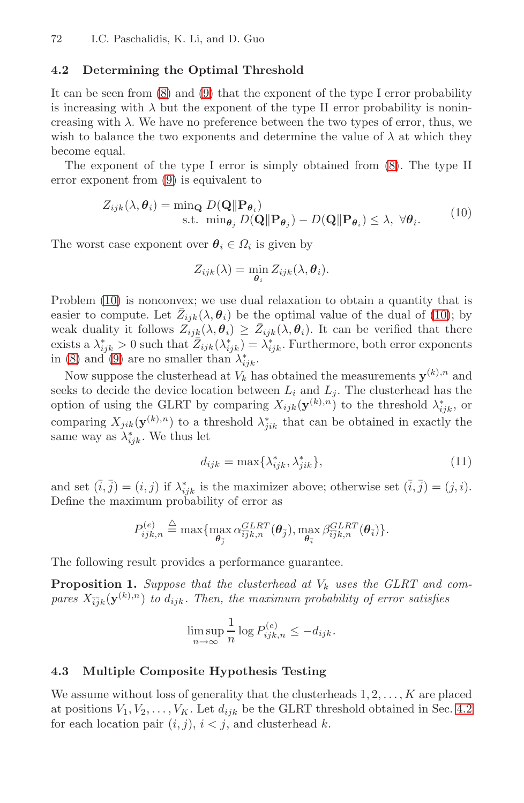### <span id="page-6-0"></span>**4.[2](#page-5-0) Determining the Optimal Threshold**

It can be seen from (8) and (9) that the exponent of the type I error probability is increasing with  $\lambda$  but the exponent of the type II error probability is nonincreasing with  $\lambda$ . We have no preference between the two types of error, thus, we wish to balance the two exponents and determine the value of  $\lambda$  at which they become equal.

The exponent of the type I error is simply obtained from (8). The type II error exponent from (9) is equivalent to

$$
Z_{ijk}(\lambda, \theta_i) = \min_{\mathbf{G}} D(\mathbf{Q} \|\mathbf{P}_{\theta_i})
$$
  
s.t. 
$$
\min_{\theta_j} D(\mathbf{Q} \|\mathbf{P}_{\theta_j}) - D(\mathbf{Q} \|\mathbf{P}_{\theta_i}) \leq \lambda, \ \forall \theta_i.
$$
 (10)

The worst case exponent over  $\theta_i \in \Omega_i$  is given by

$$
Z_{ijk}(\lambda) = \min_{\boldsymbol{\theta}_i} Z_{ijk}(\lambda, \boldsymbol{\theta}_i).
$$

Problem (10) is nonconvex; we use dual relaxation to obtain a quantity that is easier to compute. Let  $\bar{Z}_{ijk}(\lambda, \theta_i)$  be the optimal value of the dual of (10); by weak duality it follows  $Z_{ijk}(\lambda, \theta_i) \geq \bar{Z}_{ijk}(\lambda, \theta_i)$ . It can be verified that there exists a  $\lambda_{iik}^* > 0$  such that  $\bar{Z}_{ijk}(\lambda_{ijk}^*) = \lambda_{iik}^*$ . Furthermore, both error exponents in (8) and (9) are no smaller than  $\lambda_{ijk}^*$ .

Now suppose the clusterhead at  $V_k$  has obtained the measurements  $\mathbf{y}^{(k),n}$  and seeks to decide the device location between  $L_i$  and  $L_j$ . The clusterhead has the option of using the GLRT by comparing  $X_{ijk}(\mathbf{y}^{(k),n})$  to the threshold  $\lambda^*_{ijk}$ , or comparing  $X_{jik}(\mathbf{y}^{(k),n})$  to a threshold  $\lambda^*_{jik}$  that can be obtained in exactly the same way as  $\lambda_{ijk}^*$ . We thus let

$$
d_{ijk} = \max\{\lambda^*_{ijk}, \lambda^*_{jik}\},\tag{11}
$$

and set  $(\bar{i}, \bar{j}) = (i, j)$  if  $\lambda_{ijk}^*$  is the maximizer above; otherwise set  $(\bar{i}, \bar{j}) = (j, i)$ . Define the maximum probability of error as

$$
P^{(e)}_{ijk,n} \stackrel{\triangle}{=} \max\{\max_{\boldsymbol{\theta}_{\bar{j}}} \alpha^{GLRT}_{\bar{i}\bar{j}k,n}(\boldsymbol{\theta}_{\bar{j}}), \max_{\boldsymbol{\theta}_{\bar{i}}} \beta^{GLRT}_{\bar{i}\bar{j}k,n}(\boldsymbol{\theta}_{\bar{i}})\}.
$$

<span id="page-6-1"></span>The following result provides a performance guarantee.

**Proposition 1.** Suppose that the clusterhead at  $V_k$  uses the GLRT and com*pares*  $X_{\bar{i}jk}(\mathbf{y}^{(k),n})$  *to*  $d_{ijk}$ *. Then, the maximum probabilit[y of](#page-6-0) error satisfies* 

$$
\limsup_{n \to \infty} \frac{1}{n} \log P_{ijk,n}^{(e)} \le -d_{ijk}.
$$

#### **4.3 Multiple Composite Hypothesis Testing**

We assume without loss of generality that the clusterheads  $1, 2, \ldots, K$  are placed at positions  $V_1, V_2, \ldots, V_K$ . Let  $d_{ijk}$  be the GLRT threshold obtained in Sec. 4.2 for each location pair  $(i, j)$ ,  $i < j$ , and clusterhead k.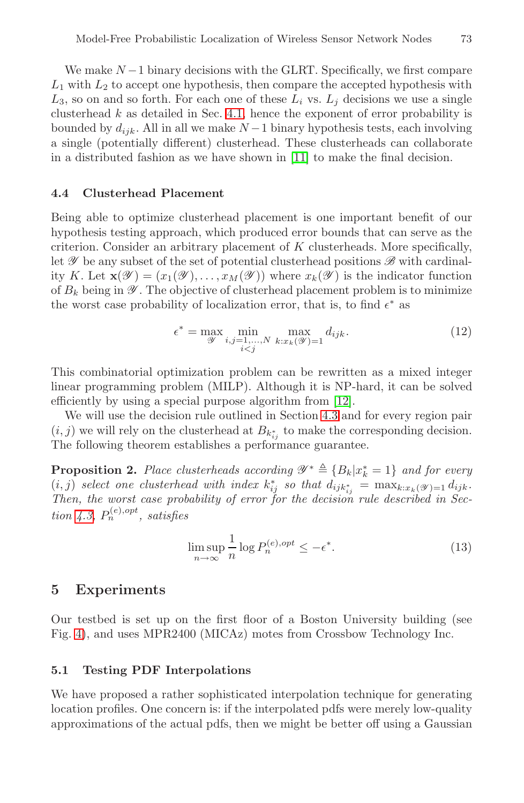We make  $N-1$  binary decisions with the GLRT. Specifically, we first compare  $L_1$  with  $L_2$  to accept one hypothesis, then compare the accepted hypothesis with  $L_3$ , so on and so forth. For each one of these  $L_i$  vs.  $L_j$  decisions we use a single clusterhead  $k$  as detailed in Sec. 4.1, hence the exponent of error probability is bounded by  $d_{ijk}$ . All in all we make  $N-1$  binary hypothesis tests, each involving a single (potentially different) clusterhead. These clusterheads can collaborate in a distributed fashion as we have shown in [11] to make the final decision.

#### **4.4 Clusterhead Placement**

Being able to optimize clusterhead placement is one important benefit of our hypothesis testing approach, which produced error bounds that can serve as the criterion. Consider an arbitrary placement of K clusterheads. More specifically, let *Y* be any subset of the set of potential clusterhead positions *B* with cardinality K. Let  $\mathbf{x}(\mathscr{Y})=(x_1(\mathscr{Y}),\ldots,x_M(\mathscr{Y}))$  where  $x_k(\mathscr{Y})$  is the indicator function of  $B_k$  being in  $\mathscr Y$ . The objective of [clus](#page-12-8)terhead placement problem is to minimize the worst case probability of lo[caliz](#page-6-1)ation error, that is, to find  $\epsilon^*$  as

$$
\epsilon^* = \max_{\mathcal{Y}} \min_{\substack{i,j=1,\ldots,N \\ i < j}} \max_{k: x_k(\mathcal{Y})=1} d_{ijk}.\tag{12}
$$

This combinatorial optimization problem can be rewritten as a mixed integer linear programming problem (MILP). Although it is NP-hard, it can be solved efficiently by using a special purpose algorithm from [12].

We will use the decision rule outlined in Section 4.3 and for every region pair  $(i, j)$  we will rely on the clusterhead at  $B_{k_{ij}^*}$  to make the corresponding decision. The following theorem establishes a performance guarantee.

**Proposition 2.** *Place clusterheads according*  $\mathscr{Y}^* \triangleq \{B_k | x_k^* = 1\}$  *and for every*  $(i, j)$  *select one clusterhead with index*  $k_{ij}^*$  *so that*  $d_{ijk_{ij}}^* = \max_{k:x_k(\mathscr{Y})=1} d_{ijk}$ . *Then, the worst case probability of error for the decision rule described in Sec-* $\lim_{n \to \infty} 4.3$ ,  $P_n^{(e), opt}$ , satisfies

$$
\limsup_{n \to \infty} \frac{1}{n} \log P_n^{(e), opt} \le -\epsilon^*.
$$
\n(13)

#### **5 Experiments**

Our testbed is set up on the first floor of a Boston University building (see Fig. 4), and uses MPR2400 (MICAz) motes from Crossbow Technology Inc.

## **5.1 Testing PDF Interpolations**

We have proposed a rather sophisticated interpolation technique for generating location profiles. One concern is: if the interpolated pdfs were merely low-quality approximations of the actual pdfs, then we might be better off using a Gaussian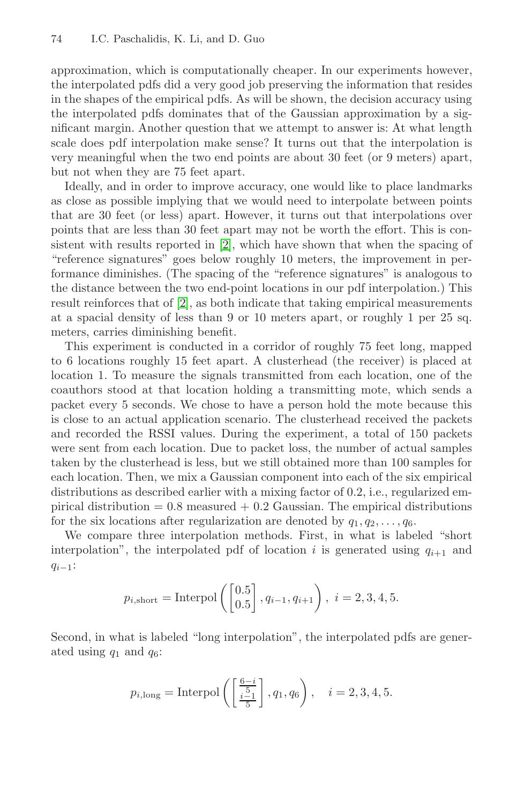approximation, which is computationally cheaper. In our experiments however, the interpolated pdfs did a very good job preserving the information that resides in the shapes of the empirical pdfs. As will be shown, the decision accuracy using the interpolated pdfs dominates that of the Gaussian approximation by a significant mar[gin](#page-12-1). Another question that we attempt to answer is: At what length scale does pdf interpolation make sense? It turns out that the interpolation is very meaningful when the two end points are about 30 feet (or 9 meters) apart, but not when they are 75 feet apart.

Id[ea](#page-12-1)lly, and in order to improve accuracy, one would like to place landmarks as close as possible implying that we would need to interpolate between points that are 30 feet (or less) apart. However, it turns out that interpolations over points that are less than 30 feet apart may not be worth the effort. This is consistent with results reported in [2], which have shown that when the spacing of "reference signatures" goes below roughly 10 meters, the improvement in performance diminishes. (The spacing of the "reference signatures" is analogous to the distance between the two end-point locations in our pdf interpolation.) This result reinforces that of [2], as both indicate that taking empirical measurements at a spacial density of less than 9 or 10 meters apart, or roughly 1 per 25 sq. meters, carries diminishing benefit.

This experiment is conducted in a corridor of roughly 75 feet long, mapped to 6 locations roughly 15 feet apart. A clusterhead (the receiver) is placed at location 1. To measure the signals transmitted from each location, one of the coauthors stood at that location holding a transmitting mote, which sends a packet every 5 seconds. We chose to have a person hold the mote because this is close to an actual application scenario. The clusterhead received the packets and recorded the RSSI values. During the experiment, a total of 150 packets were sent from each location. Due to packet loss, the number of actual samples taken by the clusterhead is less, but we still obtained more than 100 samples for each location. Then, we mix a Gaussian component into each of the six empirical distributions as described earlier with a mixing factor of 0.2, i.e., regularized empirical distribution  $= 0.8$  measured  $+ 0.2$  Gaussian. The empirical distributions for the six locations after regularization are denoted by  $q_1, q_2, \ldots, q_6$ .

We compare three interpolation methods. First, in what is labeled "short interpolation", the interpolated pdf of location i is generated using  $q_{i+1}$  and  $q_{i-1}$ :

$$
p_{i,\text{short}} = \text{Interpol}\left(\begin{bmatrix} 0.5\\0.5 \end{bmatrix}, q_{i-1}, q_{i+1}\right), i = 2, 3, 4, 5.
$$

Second, in what is labeled "long interpolation", the interpolated pdfs are generated using  $q_1$  and  $q_6$ :

$$
p_{i,\text{long}} = \text{Interpol}\left(\left[\frac{\frac{6-i}{i-1}}{\frac{5}{5}}\right], q_1, q_6\right), \quad i = 2, 3, 4, 5.
$$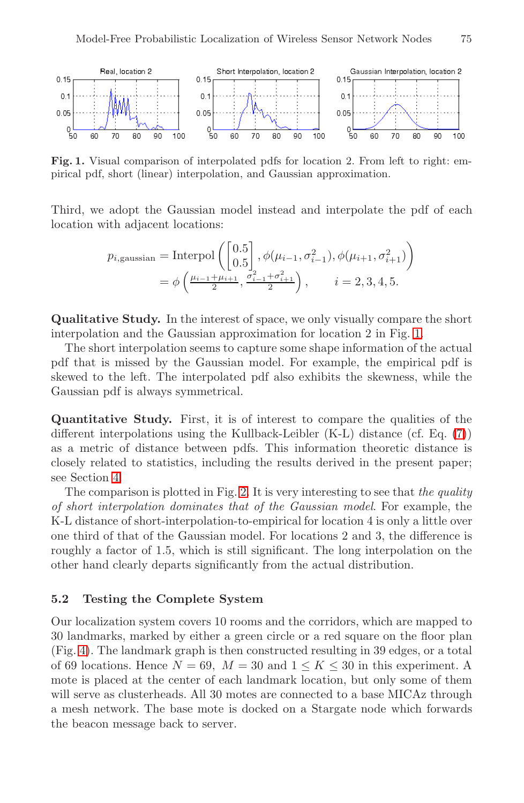<span id="page-9-0"></span>

**Fig. 1.** Visual comparison of interpolated pdfs for location 2. From left to right: empirical pdf, short (linear) interpolation, and Gaussian approximation.

Third, we adopt the Gaussian model instead a[nd](#page-9-0) interpolate the pdf of each location with adjacent locations:

$$
p_{i,\text{gaussian}} = \text{Interpol}\left(\begin{bmatrix} 0.5\\0.5\end{bmatrix}, \phi(\mu_{i-1}, \sigma_{i-1}^2), \phi(\mu_{i+1}, \sigma_{i+1}^2)\right)
$$
  
=  $\phi\left(\frac{\mu_{i-1} + \mu_{i+1}}{2}, \frac{\sigma_{i-1}^2 + \sigma_{i+1}^2}{2}\right), \qquad i = 2, 3, 4, 5.$ 

**Qualitative Study.** In the interest of space, we only vis[ual](#page-5-1)ly compare the short interpolation and the Gaussian approximation for location 2 in Fig. 1.

The short interpolation seems to capture some shape information of the actual pdf that is missed by the Gaussian model. For example, the empirical pdf is skewed to the l[eft](#page-10-0). The interpolated pdf also exhibits the skewness, while the Gaussian pdf is always symmetrical.

**Quantitative Study.** First, it is of interest to compare the qualities of the different interpolations using the Kullback-Leibler (K-L) distance (cf. Eq. (7)) as a metric of distance between pdfs. This information theoretic distance is closely related to statistics, including the results derived in the present paper; see Section 4.

The comparison is plotted in Fig. 2. It is very interesting to see that *the quality of short interpolation dominates that of the Gaussian model*. For example, the K-L distance of short-interpolation-to-empirical for location 4 is only a little over one third of that of the Gaussian model. For locations 2 and 3, the difference is roughly a factor of 1.5, which is still significant. The long interpolation on the other hand clearly departs significantly from the actual distribution.

## **5.2 Testing the Complete System**

Our localization system covers 10 rooms and the corridors, which are mapped to 30 landmarks, marked by either a green circle or a red square on the floor plan (Fig. 4). The landmark graph is then constructed resulting in 39 edges, or a total of 69 locations. Hence  $N = 69$ ,  $M = 30$  and  $1 \leq K \leq 30$  in this experiment. A mote is placed at the center of each landmark location, but only some of them will serve as clusterheads. All 30 motes are connected to a base MICAz through a mesh network. The base mote is docked on a Stargate node which forwards the beacon message back to server.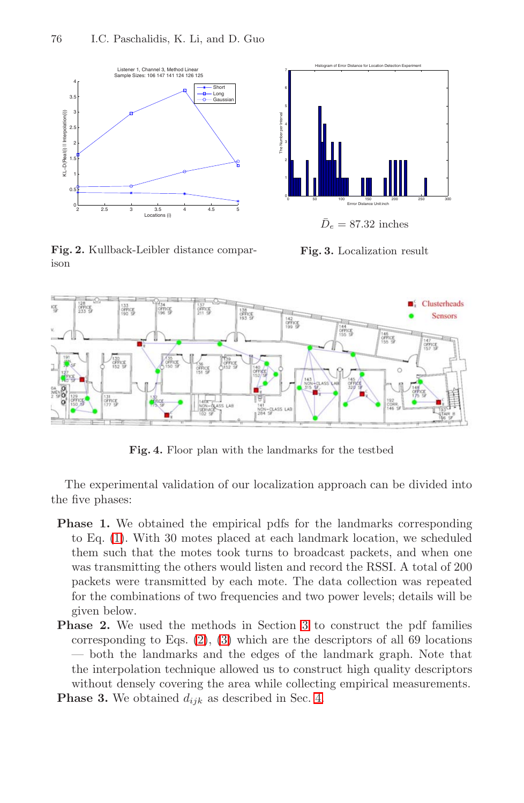<span id="page-10-0"></span>

<span id="page-10-2"></span>

**Fig. 2.** Kullback-Leibler distance comparison

**Fig. 3.** Localization result

<span id="page-10-1"></span>

**Fig. 4.** Floor plan with the landmarks for the testbed

The experimental validation of our localization approach can be divided into the five phases:

- **Phase [1](#page-2-0).** [We](#page-2-1) obtained t[he](#page-2-3) empirical pdfs for the landmarks corresponding to Eq. (1). With 30 motes placed at each landmark location, we scheduled them such that the motes took turns to broadcast packets, and when one was transmitting the others would listen and record the RSSI. A total of 200 packets were transmitted [by](#page-4-0) each mote. The data collection was repeated for the combinations of two frequencies and two power levels; details will be given below.
- **Phase 2.** We used the methods in Section 3 to construct the pdf families corresponding to Eqs. (2), (3) which are the descriptors of all 69 locations — both the landmarks and the edges of the landmark graph. Note that the interpolation technique allowed us to construct high quality descriptors without densely covering the area while collecting empirical measurements.
- **Phase 3.** We obtained  $d_{ijk}$  as described in Sec. 4.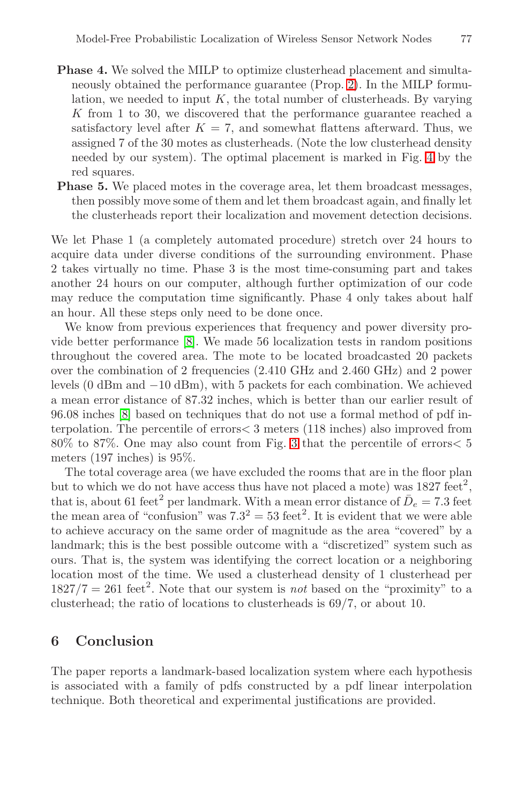- **Phase 4.** We solved the MILP to optimize clusterhead placement and simultaneously obtained the performance guarantee (Prop. 2). In the MILP formulation, we needed to input  $K$ , the total number of clusterheads. By varying K from 1 to 30, we discovered that the performance guarantee reached a satisfactory level after  $K = 7$ , and somewhat flattens afterward. Thus, we assigned 7 of the 30 motes as clusterheads. (Note the low clusterhead density needed by our system). The optimal placement is marked in Fig. 4 by the red squares.
- Phase 5. We placed motes in the coverage area, let them broadcast messages, then possibly move some of them and let them broadcast again, and finally let the clusterheads report their localization and movement detection decisions.

We le[t](#page-12-5) [P](#page-12-5)hase 1 (a completely automated procedure) stretch over 24 hours to acquire data under diverse conditions of the surrounding environment. Phase 2 takes virtually no time. Phase 3 is the most time-consuming part and takes another 24 hours on our computer, although further optimization of our code may reduce the computation time significantly. Phase 4 only takes about half an hour. All these steps only need to be done once.

We know from previou[s e](#page-10-2)xperiences that frequency and power diversity provide better performance [8]. We made 56 localization tests in random positions throughout the covered area. The mote to be located broadcasted 20 packets over the combination of 2 frequencies (2.410 GHz and 2.460 GHz) and 2 power levels (0 dBm and −10 dBm), with 5 packets for each combination. We achieved a mean error distance of 87.32 inches, which is better than our earlier result of 96.08 inches [8] based on techniques that do not use a formal method of pdf interpolation. The percentile of errors< 3 meters (118 inches) also improved from 80% to 87%. One may also count from Fig. 3 that the percentile of errors< 5 meters (197 inches) is 95%.

The total coverage area (we have excluded the rooms that are in the floor plan but to which we do not have access thus have not placed a mote) was  $1827 \text{ feet}^2$ , that is, about 61 feet<sup>2</sup> per landmark. With a mean error distance of  $\bar{D}_e = 7.3$  feet the mean area of "confusion" was  $7.3^2 = 53$  feet<sup>2</sup>. It is evident that we were able to achieve accuracy on the same order of magnitude as the area "covered" by a landmark; this is the best possible outcome with a "discretized" system such as ours. That is, the system was identifying the correct location or a neighboring location most of the time. We used a clusterhead density of 1 clusterhead per  $1827/7 = 261$  feet<sup>2</sup>. Note that our system is *not* based on the "proximity" to a clusterhead; the ratio of locations to clusterheads is 69/7, or about 10.

#### **6 Conclusion**

The paper reports a landmark-based localization system where each hypothesis is associated with a family of pdfs constructed by a pdf linear interpolation technique. Both theoretical and experimental justifications are provided.